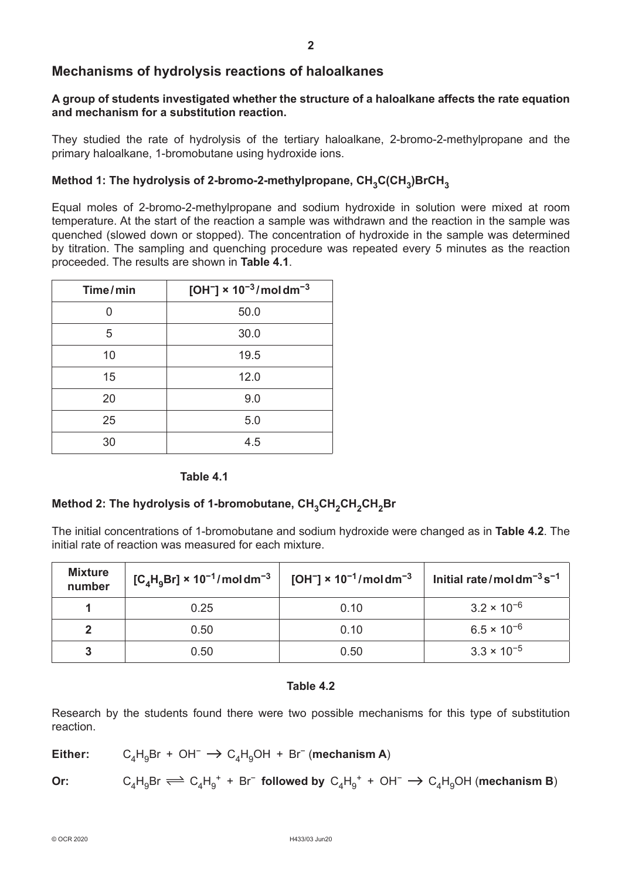**A group of students investigated whether the structure of a haloalkane affects the rate equation and mechanism for a substitution reaction.**

They studied the rate of hydrolysis of the tertiary haloalkane, 2-bromo-2-methylpropane and the primary haloalkane, 1-bromobutane using hydroxide ions.

# Method 1: The hydrolysis of 2-bromo-2-methylpropane, CH<sub>3</sub>C(CH<sub>3</sub>)BrCH<sub>3</sub>

Equal moles of 2-bromo-2-methylpropane and sodium hydroxide in solution were mixed at room temperature. At the start of the reaction a sample was withdrawn and the reaction in the sample was quenched (slowed down or stopped). The concentration of hydroxide in the sample was determined by titration. The sampling and quenching procedure was repeated every 5 minutes as the reaction proceeded. The results are shown in **Table 4.1**.

| Time/min | $[OH^-]$ × 10 <sup>-3</sup> /moldm <sup>-3</sup> |  |
|----------|--------------------------------------------------|--|
| n        | 50.0                                             |  |
| 5        | 30.0                                             |  |
| 10       | 19.5                                             |  |
| 15       | 12.0                                             |  |
| 20       | 9.0                                              |  |
| 25       | 5.0                                              |  |
| 30       | 4.5                                              |  |

## **Table 4.1**

## Method 2: The hydrolysis of 1-bromobutane, CH<sub>3</sub>CH<sub>2</sub>CH<sub>2</sub>Br

The initial concentrations of 1-bromobutane and sodium hydroxide were changed as in **Table 4.2**. The initial rate of reaction was measured for each mixture.

| <b>Mixture</b><br>number | $[C_4H_9Br] \times 10^{-1}$ /moldm <sup>-3</sup> | $[OH^-]$ × 10 <sup>-1</sup> /moldm <sup>-3</sup> | Initial rate/moldm <sup>-3</sup> s <sup>-1</sup> |
|--------------------------|--------------------------------------------------|--------------------------------------------------|--------------------------------------------------|
|                          | 0.25                                             | 0.10                                             | $3.2 \times 10^{-6}$                             |
|                          | 0.50                                             | 0.10                                             | $6.5 \times 10^{-6}$                             |
|                          | 0.50                                             | 0.50                                             | $3.3 \times 10^{-5}$                             |

### **Table 4.2**

Research by the students found there were two possible mechanisms for this type of substitution reaction.

**Either:**  $C_4H_0Br + OH^ \rightarrow$   $C_4H_0OH + Br^-$  (**mechanism A**)

Or:  $C_4H_9Br \rightleftharpoons C_4H_9^+ + Br^-$  followed by  $C_4H_9^+ + OH^- \rightarrow C_4H_9OH$  (mechanism B)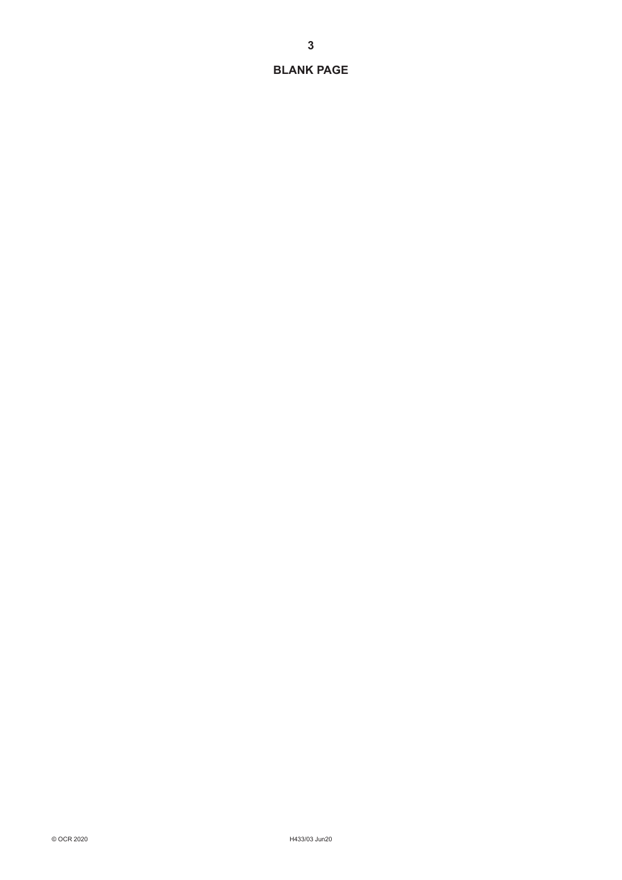# **BLANK PAGE**

**3**